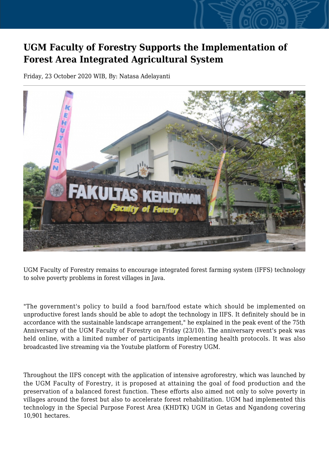## **UGM Faculty of Forestry Supports the Implementation of Forest Area Integrated Agricultural System**

Friday, 23 October 2020 WIB, By: Natasa Adelayanti



UGM Faculty of Forestry remains to encourage integrated forest farming system (IFFS) technology to solve poverty problems in forest villages in Java.

"The government's policy to build a food barn/food estate which should be implemented on unproductive forest lands should be able to adopt the technology in IIFS. It definitely should be in accordance with the sustainable landscape arrangement," he explained in the peak event of the 75th Anniversary of the UGM Faculty of Forestry on Friday (23/10). The anniversary event's peak was held online, with a limited number of participants implementing health protocols. It was also broadcasted live streaming via the Youtube platform of Forestry UGM.

Throughout the IIFS concept with the application of intensive agroforestry, which was launched by the UGM Faculty of Forestry, it is proposed at attaining the goal of food production and the preservation of a balanced forest function. These efforts also aimed not only to solve poverty in villages around the forest but also to accelerate forest rehabilitation. UGM had implemented this technology in the Special Purpose Forest Area (KHDTK) UGM in Getas and Ngandong covering 10,901 hectares.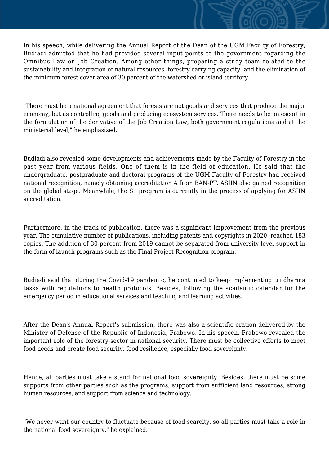In his speech, while delivering the Annual Report of the Dean of the UGM Faculty of Forestry, Budiadi admitted that he had provided several input points to the government regarding the Omnibus Law on Job Creation. Among other things, preparing a study team related to the sustainability and integration of natural resources, forestry carrying capacity, and the elimination of the minimum forest cover area of 30 percent of the watershed or island territory.

"There must be a national agreement that forests are not goods and services that produce the major economy, but as controlling goods and producing ecosystem services. There needs to be an escort in the formulation of the derivative of the Job Creation Law, both government regulations and at the ministerial level," he emphasized.

Budiadi also revealed some developments and achievements made by the Faculty of Forestry in the past year from various fields. One of them is in the field of education. He said that the undergraduate, postgraduate and doctoral programs of the UGM Faculty of Forestry had received national recognition, namely obtaining accreditation A from BAN-PT. ASIIN also gained recognition on the global stage. Meanwhile, the S1 program is currently in the process of applying for ASIIN accreditation.

Furthermore, in the track of publication, there was a significant improvement from the previous year. The cumulative number of publications, including patents and copyrights in 2020, reached 183 copies. The addition of 30 percent from 2019 cannot be separated from university-level support in the form of launch programs such as the Final Project Recognition program.

Budiadi said that during the Covid-19 pandemic, he continued to keep implementing tri dharma tasks with regulations to health protocols. Besides, following the academic calendar for the emergency period in educational services and teaching and learning activities.

After the Dean's Annual Report's submission, there was also a scientific oration delivered by the Minister of Defense of the Republic of Indonesia, Prabowo. In his speech, Prabowo revealed the important role of the forestry sector in national security. There must be collective efforts to meet food needs and create food security, food resilience, especially food sovereignty.

Hence, all parties must take a stand for national food sovereignty. Besides, there must be some supports from other parties such as the programs, support from sufficient land resources, strong human resources, and support from science and technology.

"We never want our country to fluctuate because of food scarcity, so all parties must take a role in the national food sovereignty," he explained.